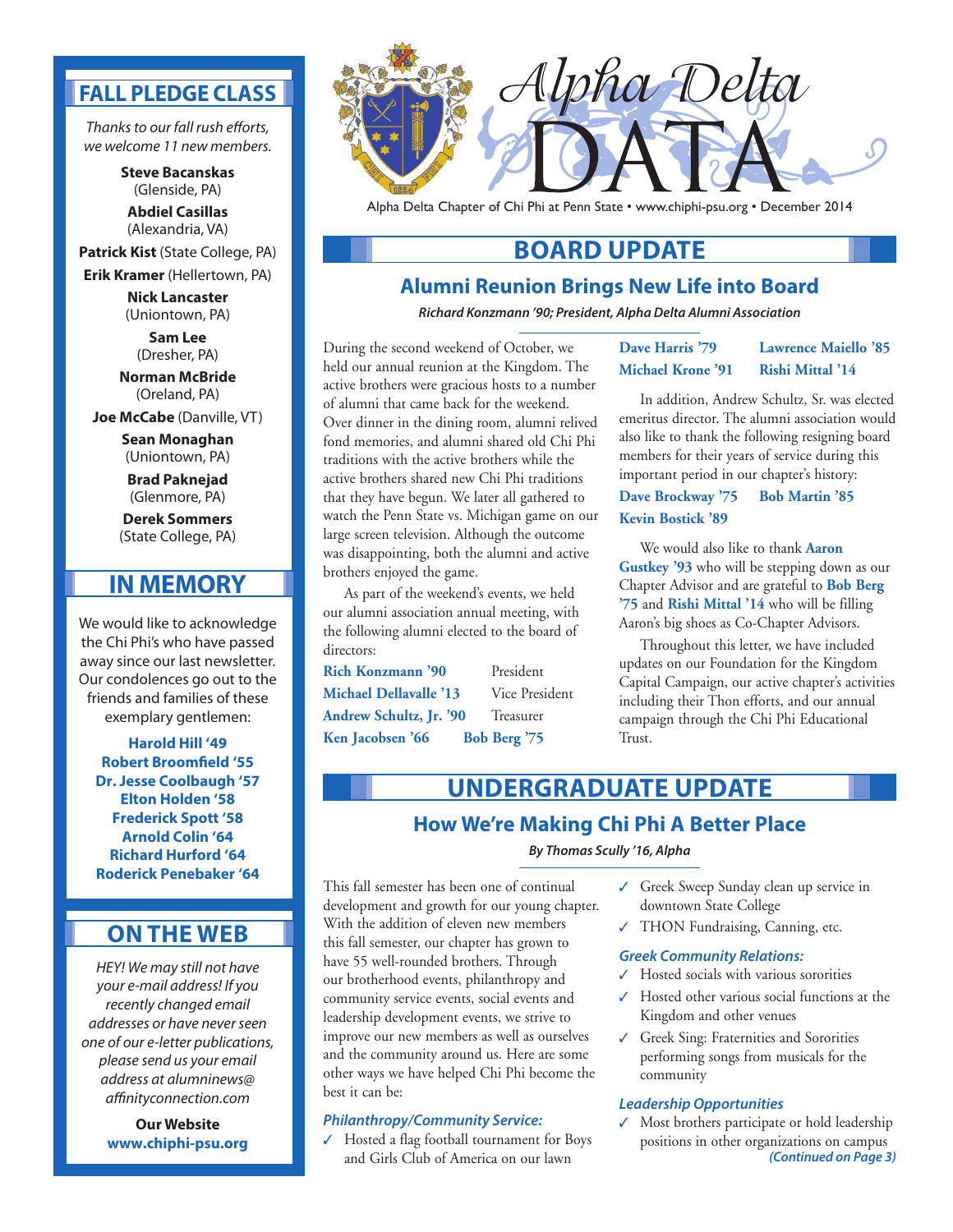## **FALL PLEDGE CLASS**

*Thanks to our fall rush efforts, we welcome 11 new members.*

> **Steve Bacanskas** (Glenside, PA) **Abdiel Casillas** (Alexandria, VA)

**Patrick Kist** (State College, PA) **Erik Kramer** (Hellertown, PA)

> **Nick Lancaster** (Uniontown, PA)

> > **Sam Lee** (Dresher, PA)

**Norman McBride** (Oreland, PA)

**Joe McCabe** (Danville, VT)

**Sean Monaghan** (Uniontown, PA)

**Brad Paknejad** (Glenmore, PA)

**Derek Sommers** (State College, PA)

## **IN MEMORY**

We would like to acknowledge the Chi Phi's who have passed away since our last newsletter. Our condolences go out to the friends and families of these exemplary gentlemen:

**Harold Hill '49 Robert Broomfield '55 Dr. Jesse Coolbaugh '57 Elton Holden '58 Frederick Spott '58 Arnold Colin '64 Richard Hurford '64 Roderick Penebaker '64**

## **ON THE WEB**

*HEY! We may still not have your e-mail address! If you recently changed email addresses or have never seen one of our e-letter publications, please send us your email address at alumninews@ affinityconnection.com* 

> **Our Website www.chiphi-psu.org**



Alpha Delta Chapter of Chi Phi at Penn State • www.chiphi-psu.org • December 2014

## **BOARD UPDATE**

### **Alumni Reunion Brings New Life into Board**

*Richard Konzmann '90; President, Alpha Delta Alumni Association*

During the second weekend of October, we held our annual reunion at the Kingdom. The active brothers were gracious hosts to a number of alumni that came back for the weekend. Over dinner in the dining room, alumni relived fond memories, and alumni shared old Chi Phi traditions with the active brothers while the active brothers shared new Chi Phi traditions that they have begun. We later all gathered to watch the Penn State vs. Michigan game on our large screen television. Although the outcome was disappointing, both the alumni and active brothers enjoyed the game.

As part of the weekend's events, we held our alumni association annual meeting, with the following alumni elected to the board of directors:

**Rich Konzmann '90** President **Michael Dellavalle '13** Vice President Andrew Schultz, Jr. '90 Treasurer **Ken Jacobsen '66 Bob Berg '75**

#### **Dave Harris '79 Lawrence Maiello '85 Michael Krone '91 Rishi Mittal '14**

In addition, Andrew Schultz, Sr. was elected emeritus director. The alumni association would also like to thank the following resigning board members for their years of service during this important period in our chapter's history:

**Dave Brockway '75 Bob Martin '85 Kevin Bostick '89**

We would also like to thank **Aaron Gustkey '93** who will be stepping down as our Chapter Advisor and are grateful to **Bob Berg '75** and **Rishi Mittal '14** who will be filling Aaron's big shoes as Co-Chapter Advisors.

Throughout this letter, we have included updates on our Foundation for the Kingdom Capital Campaign, our active chapter's activities including their Thon efforts, and our annual campaign through the Chi Phi Educational Trust.

# **How We're Making Chi Phi A Better Place UNDERGRADUATE UPDATE**

*By Thomas Scully '16, Alpha*

This fall semester has been one of continual development and growth for our young chapter. With the addition of eleven new members this fall semester, our chapter has grown to have 55 well-rounded brothers. Through our brotherhood events, philanthropy and community service events, social events and leadership development events, we strive to improve our new members as well as ourselves and the community around us. Here are some other ways we have helped Chi Phi become the best it can be:

#### *Philanthropy/Community Service:*

✓ Hosted a flag football tournament for Boys and Girls Club of America on our lawn

- ✓ Greek Sweep Sunday clean up service in downtown State College
- ✓ THON Fundraising, Canning, etc.

#### *Greek Community Relations:*

- ✓ Hosted socials with various sororities
- ✓ Hosted other various social functions at the Kingdom and other venues
- ✓ Greek Sing: Fraternities and Sororities performing songs from musicals for the community

#### *Leadership Opportunities*

✓ Most brothers participate or hold leadership positions in other organizations on campus *(Continued on Page 3)*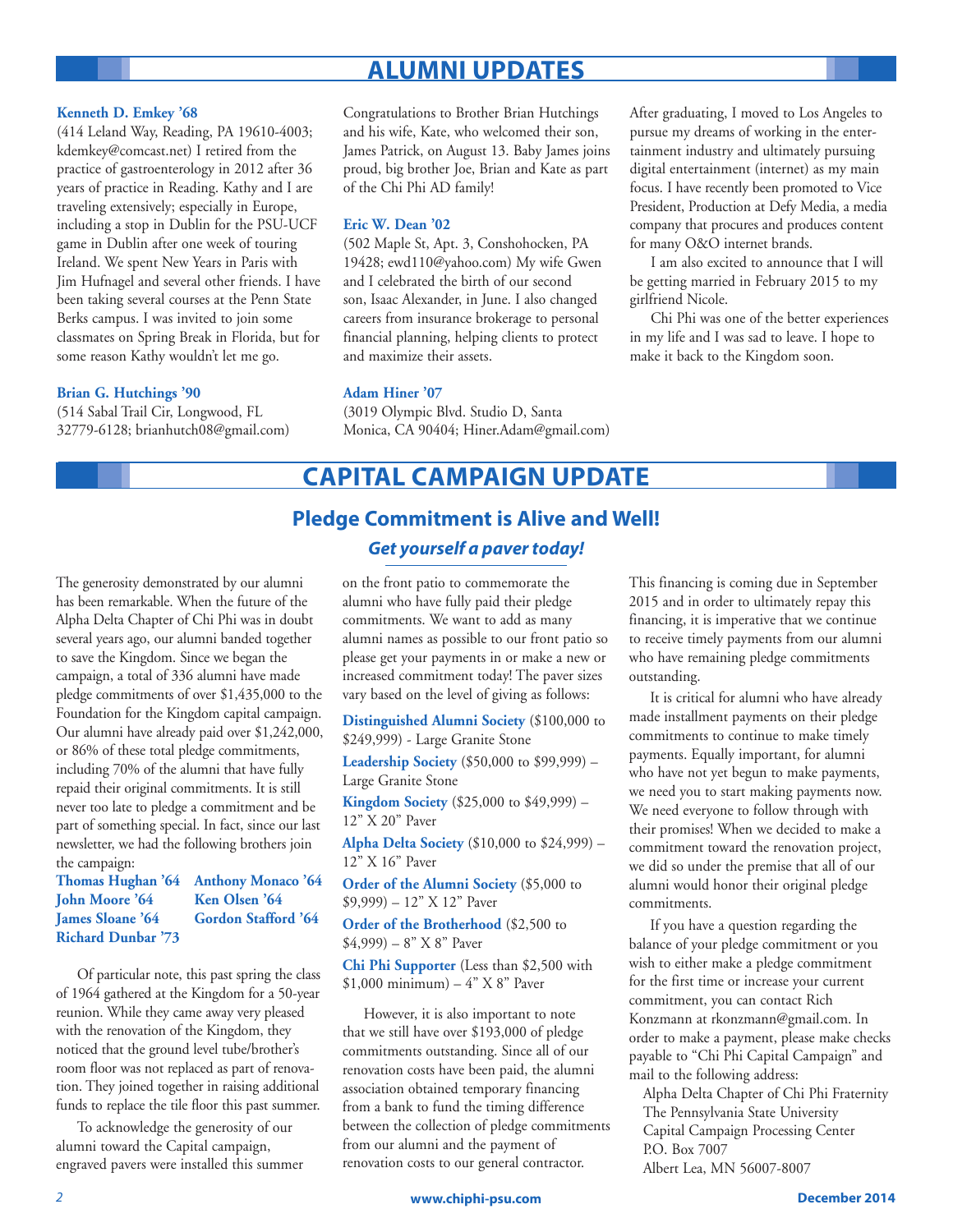# **ALUMNI UPDATES**

#### **Kenneth D. Emkey '68**

(414 Leland Way, Reading, PA 19610-4003; kdemkey@comcast.net) I retired from the practice of gastroenterology in 2012 after 36 years of practice in Reading. Kathy and I are traveling extensively; especially in Europe, including a stop in Dublin for the PSU-UCF game in Dublin after one week of touring Ireland. We spent New Years in Paris with Jim Hufnagel and several other friends. I have been taking several courses at the Penn State Berks campus. I was invited to join some classmates on Spring Break in Florida, but for some reason Kathy wouldn't let me go.

#### **Brian G. Hutchings '90**

(514 Sabal Trail Cir, Longwood, FL 32779-6128; brianhutch08@gmail.com) Congratulations to Brother Brian Hutchings and his wife, Kate, who welcomed their son, James Patrick, on August 13. Baby James joins proud, big brother Joe, Brian and Kate as part of the Chi Phi AD family!

#### **Eric W. Dean '02**

(502 Maple St, Apt. 3, Conshohocken, PA 19428; ewd110@yahoo.com) My wife Gwen and I celebrated the birth of our second son, Isaac Alexander, in June. I also changed careers from insurance brokerage to personal financial planning, helping clients to protect and maximize their assets.

#### **Adam Hiner '07**

(3019 Olympic Blvd. Studio D, Santa Monica, CA 90404; Hiner.Adam@gmail.com) After graduating, I moved to Los Angeles to pursue my dreams of working in the entertainment industry and ultimately pursuing digital entertainment (internet) as my main focus. I have recently been promoted to Vice President, Production at Defy Media, a media company that procures and produces content for many O&O internet brands.

I am also excited to announce that I will be getting married in February 2015 to my girlfriend Nicole.

Chi Phi was one of the better experiences in my life and I was sad to leave. I hope to make it back to the Kingdom soon.

## **CAPITAL CAMPAIGN UPDATE**

## **Pledge Commitment is Alive and Well!** *Get yourself a paver today!*

The generosity demonstrated by our alumni has been remarkable. When the future of the Alpha Delta Chapter of Chi Phi was in doubt several years ago, our alumni banded together to save the Kingdom. Since we began the campaign, a total of 336 alumni have made pledge commitments of over \$1,435,000 to the Foundation for the Kingdom capital campaign. Our alumni have already paid over \$1,242,000, or 86% of these total pledge commitments, including 70% of the alumni that have fully repaid their original commitments. It is still never too late to pledge a commitment and be part of something special. In fact, since our last newsletter, we had the following brothers join the campaign:

## **Thomas Hughan '64 Anthony Monaco '64 John Moore '64 Ken Olsen '64 Richard Dunbar '73**

James Sloane '64 **Gordon Stafford '64** 

Of particular note, this past spring the class of 1964 gathered at the Kingdom for a 50-year reunion. While they came away very pleased with the renovation of the Kingdom, they noticed that the ground level tube/brother's room floor was not replaced as part of renovation. They joined together in raising additional funds to replace the tile floor this past summer.

To acknowledge the generosity of our alumni toward the Capital campaign, engraved pavers were installed this summer

on the front patio to commemorate the alumni who have fully paid their pledge commitments. We want to add as many alumni names as possible to our front patio so please get your payments in or make a new or increased commitment today! The paver sizes vary based on the level of giving as follows:

**Distinguished Alumni Society** (\$100,000 to \$249,999) - Large Granite Stone

**Leadership Society** (\$50,000 to \$99,999) – Large Granite Stone

**Kingdom Society** (\$25,000 to \$49,999) – 12" X 20" Paver

**Alpha Delta Society** (\$10,000 to \$24,999) – 12" X 16" Paver

**Order of the Alumni Society** (\$5,000 to \$9,999) – 12" X 12" Paver

**Order of the Brotherhood** (\$2,500 to  $$4,999$ ) – 8" X 8" Paver

**Chi Phi Supporter** (Less than \$2,500 with  $$1,000$  minimum) – 4" X 8" Paver

However, it is also important to note that we still have over \$193,000 of pledge commitments outstanding. Since all of our renovation costs have been paid, the alumni association obtained temporary financing from a bank to fund the timing difference between the collection of pledge commitments from our alumni and the payment of renovation costs to our general contractor.

This financing is coming due in September 2015 and in order to ultimately repay this financing, it is imperative that we continue to receive timely payments from our alumni who have remaining pledge commitments outstanding.

It is critical for alumni who have already made installment payments on their pledge commitments to continue to make timely payments. Equally important, for alumni who have not yet begun to make payments, we need you to start making payments now. We need everyone to follow through with their promises! When we decided to make a commitment toward the renovation project, we did so under the premise that all of our alumni would honor their original pledge commitments.

If you have a question regarding the balance of your pledge commitment or you wish to either make a pledge commitment for the first time or increase your current commitment, you can contact Rich Konzmann at rkonzmann@gmail.com. In order to make a payment, please make checks payable to "Chi Phi Capital Campaign" and mail to the following address:

Alpha Delta Chapter of Chi Phi Fraternity The Pennsylvania State University Capital Campaign Processing Center P.O. Box 7007 Albert Lea, MN 56007-8007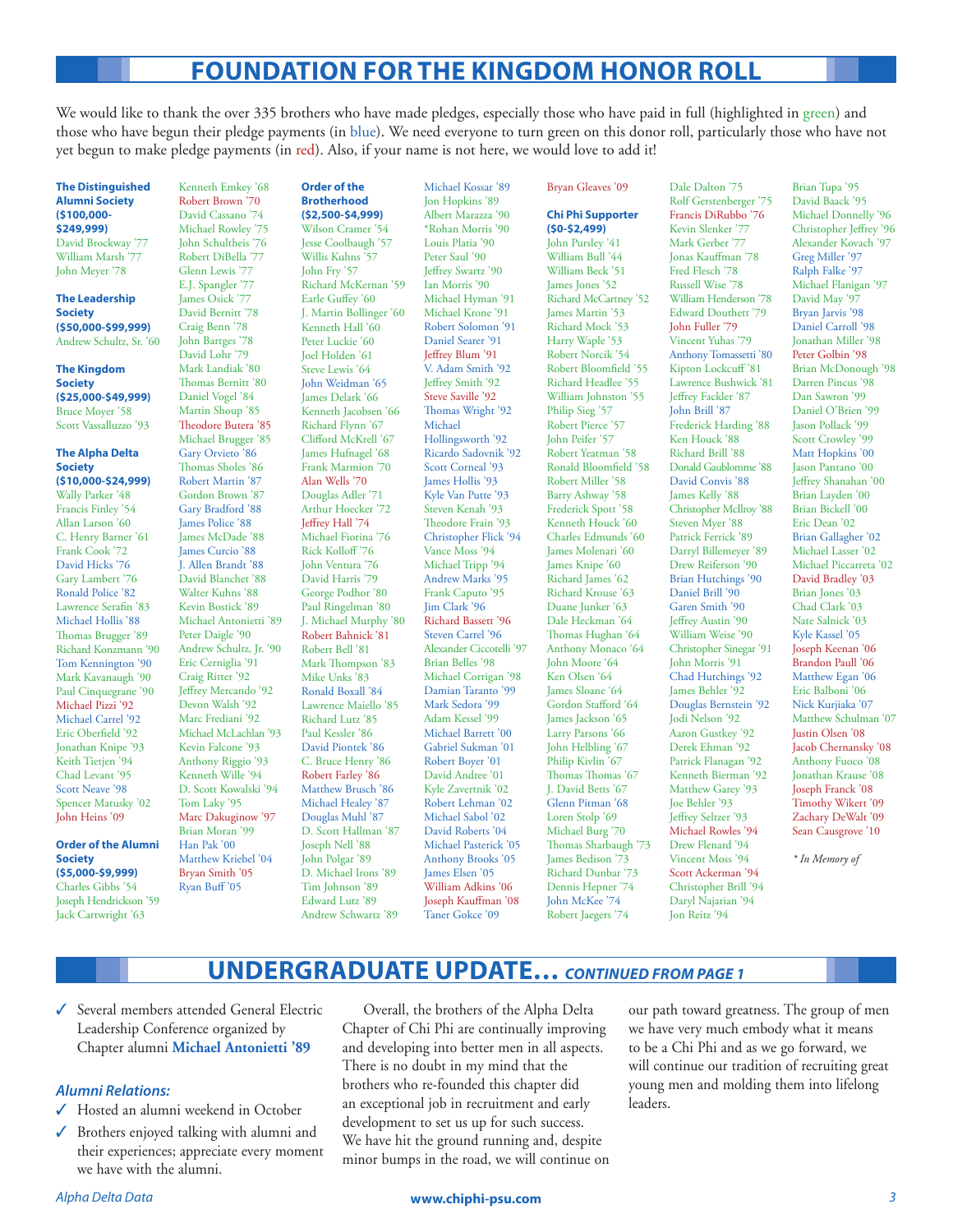# **FOUNDATION FOR THE KINGDOM HONOR ROLL**

We would like to thank the over 335 brothers who have made pledges, especially those who have paid in full (highlighted in green) and those who have begun their pledge payments (in blue). We need everyone to turn green on this donor roll, particularly those who have not yet begun to make pledge payments (in red). Also, if your name is not here, we would love to add it!

Michael Kossar '89

**The Distinguished Alumni Society (\$100,000- \$249,999)** David Brockway '77 William Marsh '77 John Meyer '78

**The Leadership Society (\$50,000-\$99,999)** Andrew Schultz, Sr. '60

**The Kingdom Society (\$25,000-\$49,999)** Bruce Moyer '58 Scott Vassalluzzo '93

#### **The Alpha Delta Society (\$10,000-\$24,999)**

Wally Parker '48 Francis Finley '54 Allan Larson '60 C. Henry Barner '61 Frank Cook '72 David Hicks '76 Gary Lambert '76 Ronald Police '82 Lawrence Serafin '83 Michael Hollis '88 Thomas Brugger '89 Richard Konzmann '90 Tom Kennington '90 Mark Kavanaugh '90 Paul Cinquegrane '90 Michael Pizzi '92 Michael Carrel '92 Eric Oberfield '92 Jonathan Knipe '93 Keith Tietjen '94 Chad Levant '95 Scott Neave '98 Spencer Matusky '02 John Heins '09

**Order of the Alumni Society (\$5,000-\$9,999)** Charles Gibbs '54 Joseph Hendrickson '59 Jack Cartwright '63

Kenneth Emkey '68 Robert Brown '70 David Cassano '74 Michael Rowley '75 John Schultheis '76 Robert DiBella '77 Glenn Lewis '77 E.J. Spangler '77 James Osick '77 David Bernitt '78 Craig Benn '78 John Bartges '78 David Lohr '79 Mark Landiak '80 Thomas Bernitt '80 Daniel Vogel '84 Martin Shoup '85 Theodore Butera '85 Michael Brugger '85 Gary Orvieto '86 Thomas Sholes '86 Robert Martin '87 Gordon Brown '87 Gary Bradford '88 James Police '88 James McDade '88 James Curcio '88 J. Allen Brandt '88 David Blanchet '88 Walter Kuhns '88 Kevin Bostick '89 Michael Antonietti '89 Peter Daigle '90 Andrew Schultz, Jr. '90 Eric Cerniglia '91 Craig Ritter '92 Jeffrey Mercando '92 Devon Walsh '92 Marc Frediani '92 Michael McLachlan '93 Kevin Falcone '93 Anthony Riggio '93 Kenneth Wille '94 D. Scott Kowalski '94 Tom Laky '95 Marc Dakuginow '97 Brian Moran '99 Han Pak '00 Matthew Kriebel '04 Bryan Smith '05 Ryan Buff '05

#### **Order of the Brotherhood (\$2,500-\$4,999)**

Wilson Cramer '54 Jesse Coolbaugh '57 Willis Kuhns '57 John Fry '57 Richard McKernan '59 Earle Guffey '60 J. Martin Bollinger '60 Kenneth Hall '60 Peter Luckie '60 Joel Holden '61 Steve Lewis '64 John Weidman '65 James Delark '66 Kenneth Jacobsen '66 Richard Flynn '67 Clifford McKrell '67 James Hufnagel '68 Frank Marmion '70 Alan Wells '70 Douglas Adler '71 Arthur Hoecker '72 Jeffrey Hall '74 Michael Fiorina '76 Rick Kolloff '76 John Ventura '76 David Harris '79 George Podhor '80 Paul Ringelman '80 J. Michael Murphy '80 Robert Bahnick '81 Robert Bell '81 Mark Thompson '83 Mike Unks '83 Ronald Boxall '84 Lawrence Maiello '85 Richard Lutz '85 Paul Kessler '86 David Piontek '86 C. Bruce Henry '86 Robert Farley '86 Matthew Brusch '86 Michael Healey '87 Douglas Muhl '87 D. Scott Hallman '87 Joseph Nell '88 John Polgar '89 D. Michael Irons '89 Tim Johnson '89 Edward Lutz '89 Andrew Schwartz '89

Jon Hopkins '89 Albert Marazza '90 \*Rohan Morris '90 Louis Platia '90 Peter Saul '90 Jeffrey Swartz '90 Ian Morris '90 Michael Hyman '91 Michael Krone '91 Robert Solomon '91 Daniel Searer '91 Jeffrey Blum '91 V. Adam Smith '92 Jeffrey Smith '92 Steve Saville '92 Thomas Wright '92 Michael Hollingsworth '92 Ricardo Sadovnik '92 Scott Corneal '93 James Hollis '93 Kyle Van Putte '93 Steven Kenah '93 Theodore Frain '93 Christopher Flick '94 Vance Moss '94 Michael Tripp '94 Andrew Marks '95 Frank Caputo '95 Jim Clark '96 Richard Bassett '96 Steven Carrel '96 Alexander Ciccotelli '97 Brian Belles '98 Michael Corrigan '98 Damian Taranto '99 Mark Sedora '99 Adam Kessel '99 Michael Barrett<sup>'00</sup> Gabriel Sukman '01 Robert Boyer '01 David Andree '01 Kyle Zavertnik '02 Robert Lehman '02 Michael Sabol '02 David Roberts '04 Michael Pasterick '05 Anthony Brooks '05 James Elsen '05 William Adkins '06 Joseph Kauffman '08 Taner Gokce '09

#### Bryan Gleaves '09 **Chi Phi Supporter (\$0-\$2,499)**

John Pursley '41 William Bull '44 William Beck '51 James Jones '52 Richard McCartney '52 James Martin '53 Richard Mock '53 Harry Waple '53 Robert Norcik '54 Robert Bloomfield '55 Richard Headlee '55 William Johnston '55 Philip Sieg '57 Robert Pierce '57 John Peifer '57 Robert Yeatman '58 Ronald Bloomfield '58 Robert Miller '58 Barry Ashway '58 Frederick Spott '58 Kenneth Houck '60 Charles Edmunds '60 James Molenari '60 James Knipe '60 Richard James '62 Richard Krouse '63 Duane Junker '63 Dale Heckman '64 Thomas Hughan '64 Anthony Monaco '64 John Moore '64 Ken Olsen '64 James Sloane '64 Gordon Stafford '64 James Jackson '65 Larry Parsons '66 John Helbling '67 Philip Kivlin<sup>'67</sup> Thomas Thomas '67 J. David Betts '67 Glenn Pitman '68 Loren Stolp '69 Michael Burg '70 Thomas Sharbaugh '73 James Bedison '73 Richard Dunbar '73 Dennis Hepner '74 John McKee '74 Robert Jaegers '74

Dale Dalton '75 Rolf Gerstenberger '75 Francis DiRubbo '76 Kevin Slenker '77 Mark Gerber '77 Jonas Kauffman '78 Fred Flesch '78 Russell Wise '78 William Henderson '78 Edward Douthett '79 John Fuller '79 .<br>Vincent Yuhas '79 Anthony Tomassetti '80 Kipton Lockcuff '81 Lawrence Bushwick '81 Jeffrey Fackler '87 John Brill '87 Frederick Harding '88 Ken Houck '88 Richard Brill '88 Donald Gaublomme '88 David Convis '88 James Kelly '88 Christopher McIlroy '88 Steven Myer '88 Patrick Ferrick '89 Darryl Billemeyer '89 Drew Reiferson '90 Brian Hutchings '90 Daniel Brill '90 Garen Smith '90 Jeffrey Austin '90 William Weise '90 Christopher Sinegar '91 John Morris '91 Chad Hutchings '92 James Behler '92 Douglas Bernstein '92 Jodi Nelson '92 .<br>Aaron Gustkey '92 Derek Ehman '92 Patrick Flanagan '92 Kenneth Bierman '92 Matthew Garey '93 Joe Behler '93 Jeffrey Seltzer '93 Michael Rowles '94 Drew Flenard '94 Vincent Moss '94 Scott Ackerman '94 Christopher Brill '94 Daryl Najarian '94 Jon Reitz '94

Brian Tupa '95 David Baack '95 Michael Donnelly '96 Christopher Jeffrey '96 Alexander Kovach '97 Greg Miller '97 Ralph Falke '97 Michael Flanigan '97 David May '97 Bryan Jarvis '98 Daniel Carroll '98 Jonathan Miller '98 Peter Golbin '98 Brian McDonough '98 Darren Pincus '98 Dan Sawron '99 Daniel O'Brien '99 Jason Pollack '99 Scott Crowley '99 Matt Hopkins '00 Jason Pantano '00 Jeffrey Shanahan '00 Brian Layden '00 Brian Bickell '00 Eric Dean '02 Brian Gallagher '02 Michael Lasser '02 Michael Piccarreta '02 David Bradley '03 Brian Jones '03 Chad Clark '03 Nate Salnick '03 Kyle Kassel '05 Joseph Keenan '06 Brandon Paull '06 Matthew Egan '06 Eric Balboni '06 Nick Kurjiaka '07 Matthew Schulman '07 Justin Olsen '08 Jacob Chernansky '08 Anthony Fuoco '08 Jonathan Krause '08 Joseph Franck '08 Timothy Wikert '09 Zachary DeWalt '09 Sean Causgrove '10

*\* In Memory of*

## **UNDERGRADUATE UPDATE…** *CONTINUED FROM PAGE 1*

✓ Several members attended General Electric Leadership Conference organized by Chapter alumni **Michael Antonietti '89**

#### *Alumni Relations:*

- ✓ Hosted an alumni weekend in October
- ✓ Brothers enjoyed talking with alumni and their experiences; appreciate every moment we have with the alumni.

Overall, the brothers of the Alpha Delta Chapter of Chi Phi are continually improving and developing into better men in all aspects. There is no doubt in my mind that the brothers who re-founded this chapter did an exceptional job in recruitment and early development to set us up for such success. We have hit the ground running and, despite minor bumps in the road, we will continue on our path toward greatness. The group of men we have very much embody what it means to be a Chi Phi and as we go forward, we will continue our tradition of recruiting great young men and molding them into lifelong leaders.